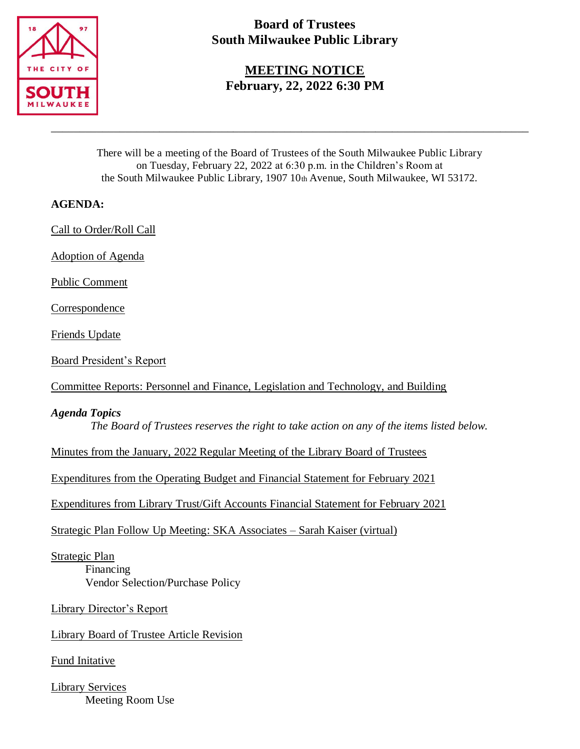

# **Board of Trustees South Milwaukee Public Library**

**MEETING NOTICE February, 22, 2022 6:30 PM**

There will be a meeting of the Board of Trustees of the South Milwaukee Public Library on Tuesday, February 22, 2022 at 6:30 p.m. in the Children's Room at the South Milwaukee Public Library, 1907 10th Avenue, South Milwaukee, WI 53172.

\_\_\_\_\_\_\_\_\_\_\_\_\_\_\_\_\_\_\_\_\_\_\_\_\_\_\_\_\_\_\_\_\_\_\_\_\_\_\_\_\_\_\_\_\_\_\_\_\_\_\_\_\_\_\_\_\_\_\_\_\_\_\_\_\_\_\_\_\_\_\_\_\_\_\_\_\_\_\_\_\_\_\_\_

## **AGENDA:**

Call to Order/Roll Call

Adoption of Agenda

Public Comment

Correspondence

Friends Update

Board President's Report

Committee Reports: Personnel and Finance, Legislation and Technology, and Building

## *Agenda Topics*

*The Board of Trustees reserves the right to take action on any of the items listed below.*

Minutes from the January, 2022 Regular Meeting of the Library Board of Trustees

Expenditures from the Operating Budget and Financial Statement for February 2021

Expenditures from Library Trust/Gift Accounts Financial Statement for February 2021

Strategic Plan Follow Up Meeting: SKA Associates – Sarah Kaiser (virtual)

Strategic Plan Financing Vendor Selection/Purchase Policy

Library Director's Report

Library Board of Trustee Article Revision

Fund Initative

Library Services Meeting Room Use